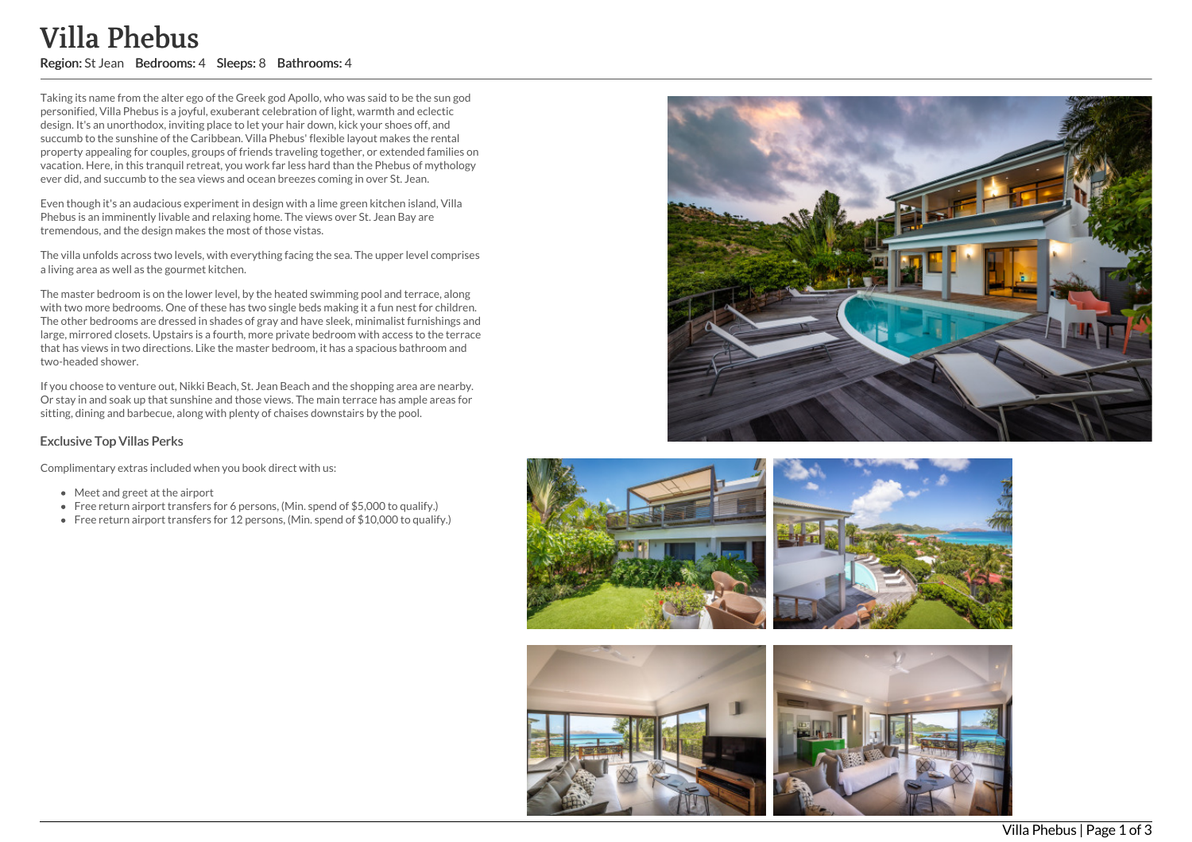## Villa Phebus

## Region: St Jean Bedrooms: 4 Sleeps: 8 Bathrooms: 4

Taking its name from the alter ego of the Greek god Apollo, who was said to be the sun god personified, Villa Phebus is a joyful, exuberant celebration of light, warmth and eclectic design. It's an unorthodox, inviting place to let your hair down, kick your shoes off, and succumb to the sunshine of the Caribbean. Villa Phebus' flexible layout makes the rental property appealing for couples, groups of friends traveling together, or extended families on vacation. Here, in this tranquil retreat, you work far less hard than the Phebus of mythology ever did, and succumb to the sea views and ocean breezes coming in over St. Jean.

Even though it's an audacious experiment in design with a lime green kitchen island, Villa Phebus is an imminently livable and relaxing home. The views over St. Jean Bay are tremendous, and the design makes the most of those vistas.

The villa unfolds across two levels, with everything facing the sea. The upper level comprises a living area as well as the gourmet kitchen.

The master bedroom is on the lower level, by the heated swimming pool and terrace, along with two more bedrooms. One of these has two single beds making it a fun nest for children. The other bedrooms are dressed in shades of gray and have sleek, minimalist furnishings and large, mirrored closets. Upstairs is a fourth, more private bedroom with access to the terrace that has views in two directions. Like the master bedroom, it has a spacious bathroom and two-headed shower.

If you choose to venture out, Nikki Beach, St. Jean Beach and the shopping area are nearby. Or stay in and soak up that sunshine and those views. The main terrace has ample areas for sitting, dining and barbecue, along with plenty of chaises downstairs by the pool.

## Exclusive Top Villas Perks

Complimentary extras included when you book direct with us:

- Meet and greet at the airport
- Free return airport transfers for 6 persons, (Min. spend of \$5,000 to qualify.)
- Free return airport transfers for 12 persons, (Min. spend of \$10,000 to qualify.)



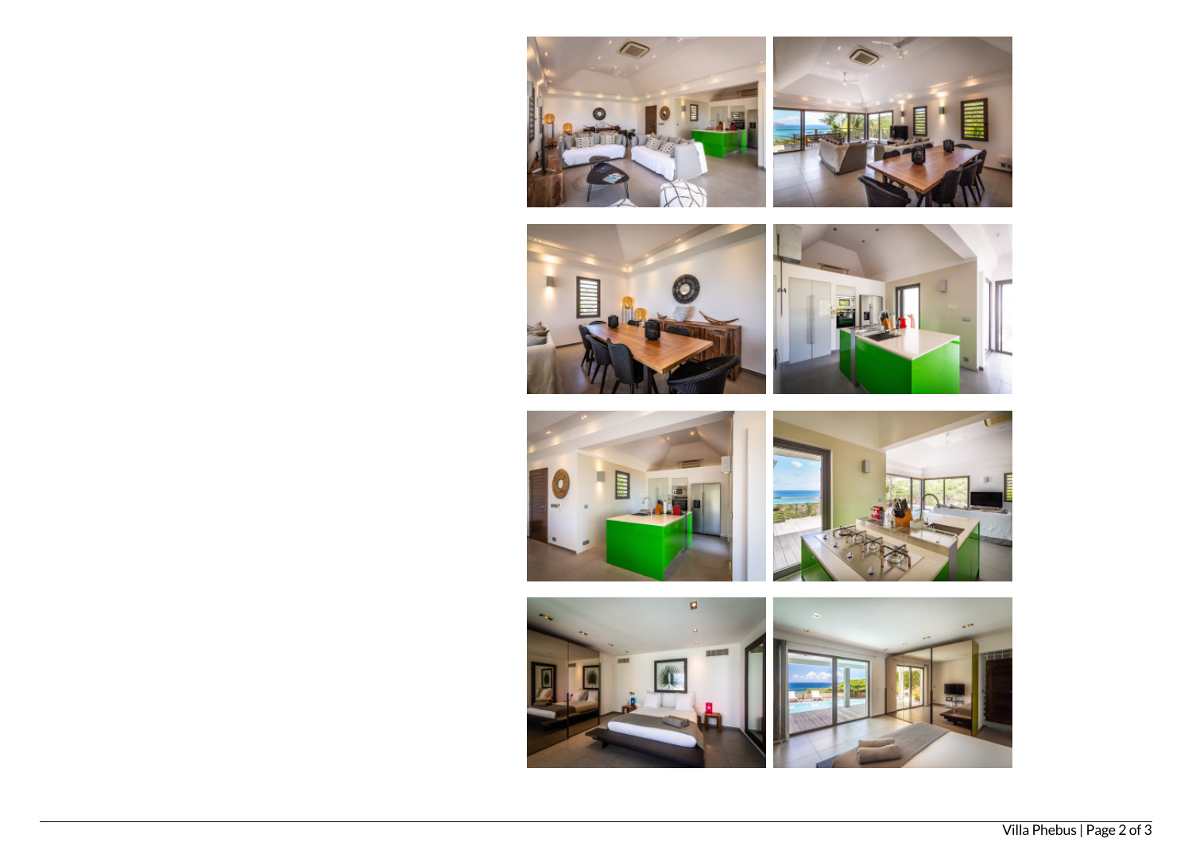